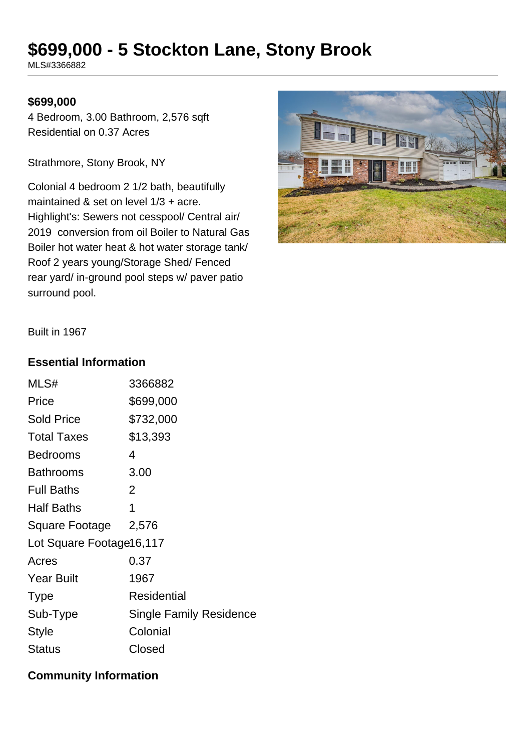# **\$699,000 - 5 Stockton Lane, Stony Brook**

MLS#3366882

#### **\$699,000**

4 Bedroom, 3.00 Bathroom, 2,576 sqft Residential on 0.37 Acres

Strathmore, Stony Brook, NY

Colonial 4 bedroom 2 1/2 bath, beautifully maintained & set on level 1/3 + acre. Highlight's: Sewers not cesspool/ Central air/ 2019 conversion from oil Boiler to Natural Gas Boiler hot water heat & hot water storage tank/ Roof 2 years young/Storage Shed/ Fenced rear yard/ in-ground pool steps w/ paver patio surround pool.



Built in 1967

#### **Essential Information**

| MLS#                     | 3366882                        |  |
|--------------------------|--------------------------------|--|
| Price                    | \$699,000                      |  |
| <b>Sold Price</b>        | \$732,000                      |  |
| <b>Total Taxes</b>       | \$13,393                       |  |
| Bedrooms                 | 4                              |  |
| <b>Bathrooms</b>         | 3.00                           |  |
| <b>Full Baths</b>        | 2                              |  |
| <b>Half Baths</b>        | 1                              |  |
| Square Footage           | 2,576                          |  |
| Lot Square Footage16,117 |                                |  |
| Acres                    | 0.37                           |  |
| <b>Year Built</b>        | 1967                           |  |
| <b>Type</b>              | <b>Residential</b>             |  |
| Sub-Type                 | <b>Single Family Residence</b> |  |
| <b>Style</b>             | Colonial                       |  |
| Status                   | Closed                         |  |

### **Community Information**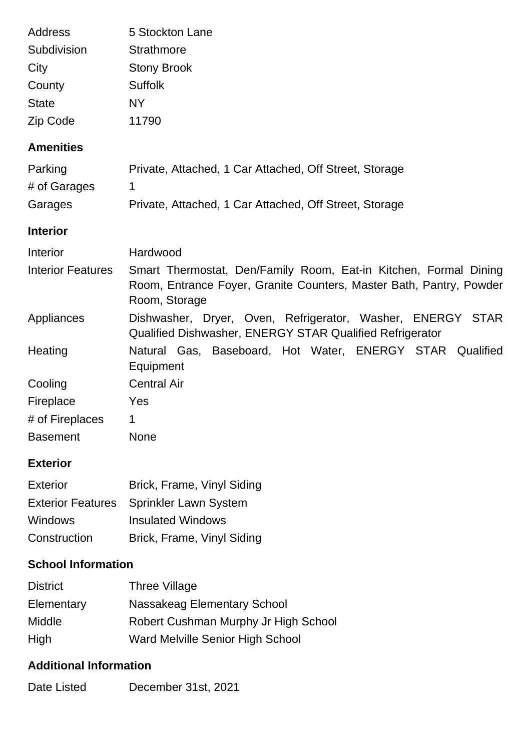| <b>Address</b>                | 5 Stockton Lane                                                                                                                                          |
|-------------------------------|----------------------------------------------------------------------------------------------------------------------------------------------------------|
| Subdivision                   | <b>Strathmore</b>                                                                                                                                        |
| City                          | <b>Stony Brook</b>                                                                                                                                       |
| County                        | <b>Suffolk</b>                                                                                                                                           |
| <b>State</b>                  | <b>NY</b>                                                                                                                                                |
| Zip Code                      | 11790                                                                                                                                                    |
| <b>Amenities</b>              |                                                                                                                                                          |
| Parking                       | Private, Attached, 1 Car Attached, Off Street, Storage                                                                                                   |
| # of Garages                  | 1                                                                                                                                                        |
| Garages                       | Private, Attached, 1 Car Attached, Off Street, Storage                                                                                                   |
| <b>Interior</b>               |                                                                                                                                                          |
| Interior                      | Hardwood                                                                                                                                                 |
| <b>Interior Features</b>      | Smart Thermostat, Den/Family Room, Eat-in Kitchen, Formal Dining<br>Room, Entrance Foyer, Granite Counters, Master Bath, Pantry, Powder<br>Room, Storage |
| Appliances                    | Dishwasher, Dryer, Oven, Refrigerator, Washer, ENERGY STAR<br>Qualified Dishwasher, ENERGY STAR Qualified Refrigerator                                   |
| Heating                       | Natural Gas, Baseboard, Hot Water, ENERGY STAR Qualified<br>Equipment                                                                                    |
| Cooling                       | <b>Central Air</b>                                                                                                                                       |
| Fireplace                     | Yes                                                                                                                                                      |
| # of Fireplaces               | 1                                                                                                                                                        |
| <b>Basement</b>               | <b>None</b>                                                                                                                                              |
| <b>Exterior</b>               |                                                                                                                                                          |
| <b>Exterior</b>               | Brick, Frame, Vinyl Siding                                                                                                                               |
| <b>Exterior Features</b>      | Sprinkler Lawn System                                                                                                                                    |
| <b>Windows</b>                | <b>Insulated Windows</b>                                                                                                                                 |
| Construction                  | Brick, Frame, Vinyl Siding                                                                                                                               |
| <b>School Information</b>     |                                                                                                                                                          |
| <b>District</b>               | <b>Three Village</b>                                                                                                                                     |
| Elementary                    | <b>Nassakeag Elementary School</b>                                                                                                                       |
| Middle                        | Robert Cushman Murphy Jr High School                                                                                                                     |
| High                          | Ward Melville Senior High School                                                                                                                         |
| <b>Additional Information</b> |                                                                                                                                                          |
| Date Listed                   | December 31st, 2021                                                                                                                                      |